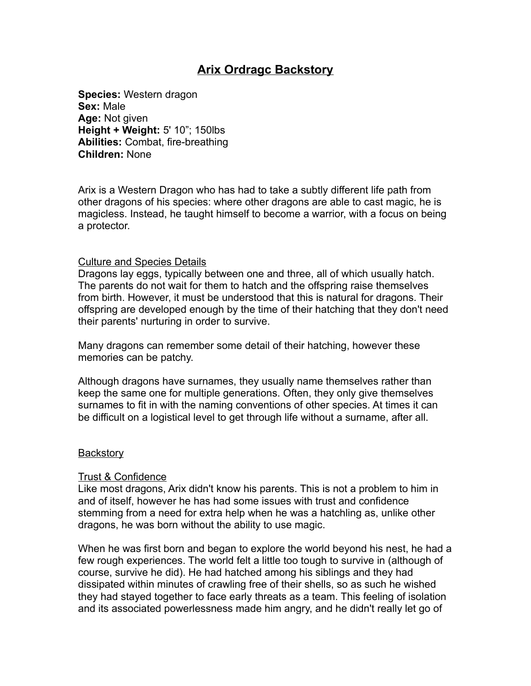# **Arix Ordragc Backstory**

**Species:** Western dragon **Sex:** Male **Age:** Not given **Height + Weight:** 5' 10"; 150lbs **Abilities:** Combat, fire-breathing **Children:** None

Arix is a Western Dragon who has had to take a subtly different life path from other dragons of his species: where other dragons are able to cast magic, he is magicless. Instead, he taught himself to become a warrior, with a focus on being a protector.

#### Culture and Species Details

Dragons lay eggs, typically between one and three, all of which usually hatch. The parents do not wait for them to hatch and the offspring raise themselves from birth. However, it must be understood that this is natural for dragons. Their offspring are developed enough by the time of their hatching that they don't need their parents' nurturing in order to survive.

Many dragons can remember some detail of their hatching, however these memories can be patchy.

Although dragons have surnames, they usually name themselves rather than keep the same one for multiple generations. Often, they only give themselves surnames to fit in with the naming conventions of other species. At times it can be difficult on a logistical level to get through life without a surname, after all.

#### **Backstory**

#### Trust & Confidence

Like most dragons, Arix didn't know his parents. This is not a problem to him in and of itself, however he has had some issues with trust and confidence stemming from a need for extra help when he was a hatchling as, unlike other dragons, he was born without the ability to use magic.

When he was first born and began to explore the world beyond his nest, he had a few rough experiences. The world felt a little too tough to survive in (although of course, survive he did). He had hatched among his siblings and they had dissipated within minutes of crawling free of their shells, so as such he wished they had stayed together to face early threats as a team. This feeling of isolation and its associated powerlessness made him angry, and he didn't really let go of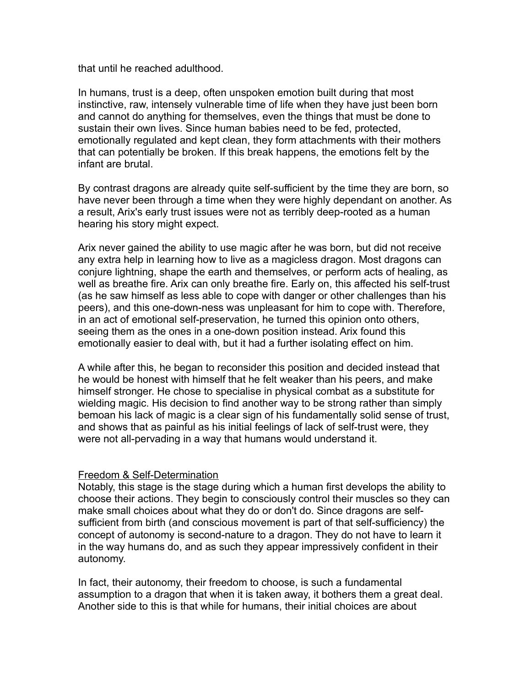that until he reached adulthood.

In humans, trust is a deep, often unspoken emotion built during that most instinctive, raw, intensely vulnerable time of life when they have just been born and cannot do anything for themselves, even the things that must be done to sustain their own lives. Since human babies need to be fed, protected, emotionally regulated and kept clean, they form attachments with their mothers that can potentially be broken. If this break happens, the emotions felt by the infant are brutal.

By contrast dragons are already quite self-sufficient by the time they are born, so have never been through a time when they were highly dependant on another. As a result, Arix's early trust issues were not as terribly deep-rooted as a human hearing his story might expect.

Arix never gained the ability to use magic after he was born, but did not receive any extra help in learning how to live as a magicless dragon. Most dragons can conjure lightning, shape the earth and themselves, or perform acts of healing, as well as breathe fire. Arix can only breathe fire. Early on, this affected his self-trust (as he saw himself as less able to cope with danger or other challenges than his peers), and this one-down-ness was unpleasant for him to cope with. Therefore, in an act of emotional self-preservation, he turned this opinion onto others, seeing them as the ones in a one-down position instead. Arix found this emotionally easier to deal with, but it had a further isolating effect on him.

A while after this, he began to reconsider this position and decided instead that he would be honest with himself that he felt weaker than his peers, and make himself stronger. He chose to specialise in physical combat as a substitute for wielding magic. His decision to find another way to be strong rather than simply bemoan his lack of magic is a clear sign of his fundamentally solid sense of trust, and shows that as painful as his initial feelings of lack of self-trust were, they were not all-pervading in a way that humans would understand it.

#### Freedom & Self-Determination

Notably, this stage is the stage during which a human first develops the ability to choose their actions. They begin to consciously control their muscles so they can make small choices about what they do or don't do. Since dragons are selfsufficient from birth (and conscious movement is part of that self-sufficiency) the concept of autonomy is second-nature to a dragon. They do not have to learn it in the way humans do, and as such they appear impressively confident in their autonomy.

In fact, their autonomy, their freedom to choose, is such a fundamental assumption to a dragon that when it is taken away, it bothers them a great deal. Another side to this is that while for humans, their initial choices are about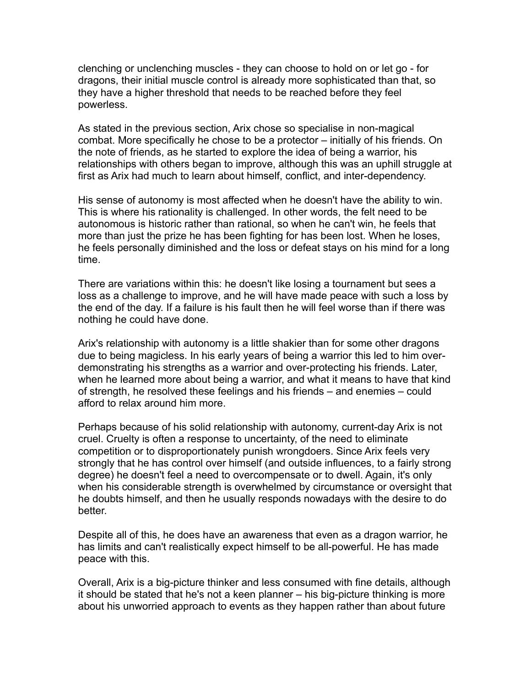clenching or unclenching muscles - they can choose to hold on or let go - for dragons, their initial muscle control is already more sophisticated than that, so they have a higher threshold that needs to be reached before they feel powerless.

As stated in the previous section, Arix chose so specialise in non-magical combat. More specifically he chose to be a protector – initially of his friends. On the note of friends, as he started to explore the idea of being a warrior, his relationships with others began to improve, although this was an uphill struggle at first as Arix had much to learn about himself, conflict, and inter-dependency.

His sense of autonomy is most affected when he doesn't have the ability to win. This is where his rationality is challenged. In other words, the felt need to be autonomous is historic rather than rational, so when he can't win, he feels that more than just the prize he has been fighting for has been lost. When he loses, he feels personally diminished and the loss or defeat stays on his mind for a long time.

There are variations within this: he doesn't like losing a tournament but sees a loss as a challenge to improve, and he will have made peace with such a loss by the end of the day. If a failure is his fault then he will feel worse than if there was nothing he could have done.

Arix's relationship with autonomy is a little shakier than for some other dragons due to being magicless. In his early years of being a warrior this led to him overdemonstrating his strengths as a warrior and over-protecting his friends. Later, when he learned more about being a warrior, and what it means to have that kind of strength, he resolved these feelings and his friends – and enemies – could afford to relax around him more.

Perhaps because of his solid relationship with autonomy, current-day Arix is not cruel. Cruelty is often a response to uncertainty, of the need to eliminate competition or to disproportionately punish wrongdoers. Since Arix feels very strongly that he has control over himself (and outside influences, to a fairly strong degree) he doesn't feel a need to overcompensate or to dwell. Again, it's only when his considerable strength is overwhelmed by circumstance or oversight that he doubts himself, and then he usually responds nowadays with the desire to do better.

Despite all of this, he does have an awareness that even as a dragon warrior, he has limits and can't realistically expect himself to be all-powerful. He has made peace with this.

Overall, Arix is a big-picture thinker and less consumed with fine details, although it should be stated that he's not a keen planner – his big-picture thinking is more about his unworried approach to events as they happen rather than about future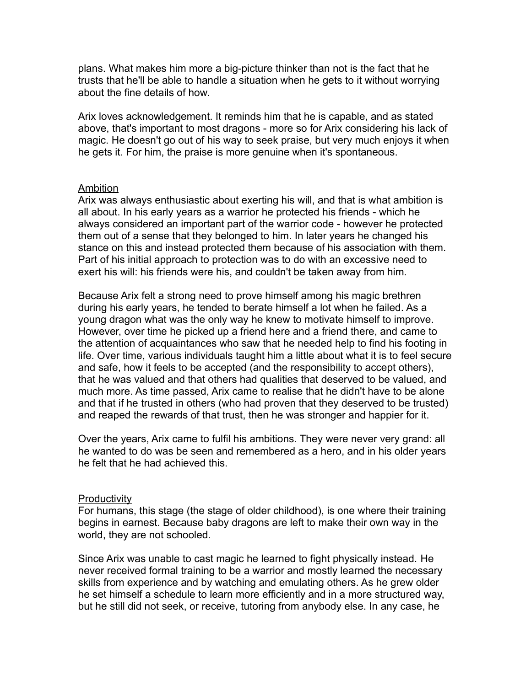plans. What makes him more a big-picture thinker than not is the fact that he trusts that he'll be able to handle a situation when he gets to it without worrying about the fine details of how.

Arix loves acknowledgement. It reminds him that he is capable, and as stated above, that's important to most dragons - more so for Arix considering his lack of magic. He doesn't go out of his way to seek praise, but very much enjoys it when he gets it. For him, the praise is more genuine when it's spontaneous.

#### Ambition

Arix was always enthusiastic about exerting his will, and that is what ambition is all about. In his early years as a warrior he protected his friends - which he always considered an important part of the warrior code - however he protected them out of a sense that they belonged to him. In later years he changed his stance on this and instead protected them because of his association with them. Part of his initial approach to protection was to do with an excessive need to exert his will: his friends were his, and couldn't be taken away from him.

Because Arix felt a strong need to prove himself among his magic brethren during his early years, he tended to berate himself a lot when he failed. As a young dragon what was the only way he knew to motivate himself to improve. However, over time he picked up a friend here and a friend there, and came to the attention of acquaintances who saw that he needed help to find his footing in life. Over time, various individuals taught him a little about what it is to feel secure and safe, how it feels to be accepted (and the responsibility to accept others), that he was valued and that others had qualities that deserved to be valued, and much more. As time passed, Arix came to realise that he didn't have to be alone and that if he trusted in others (who had proven that they deserved to be trusted) and reaped the rewards of that trust, then he was stronger and happier for it.

Over the years, Arix came to fulfil his ambitions. They were never very grand: all he wanted to do was be seen and remembered as a hero, and in his older years he felt that he had achieved this.

## **Productivity**

For humans, this stage (the stage of older childhood), is one where their training begins in earnest. Because baby dragons are left to make their own way in the world, they are not schooled.

Since Arix was unable to cast magic he learned to fight physically instead. He never received formal training to be a warrior and mostly learned the necessary skills from experience and by watching and emulating others. As he grew older he set himself a schedule to learn more efficiently and in a more structured way, but he still did not seek, or receive, tutoring from anybody else. In any case, he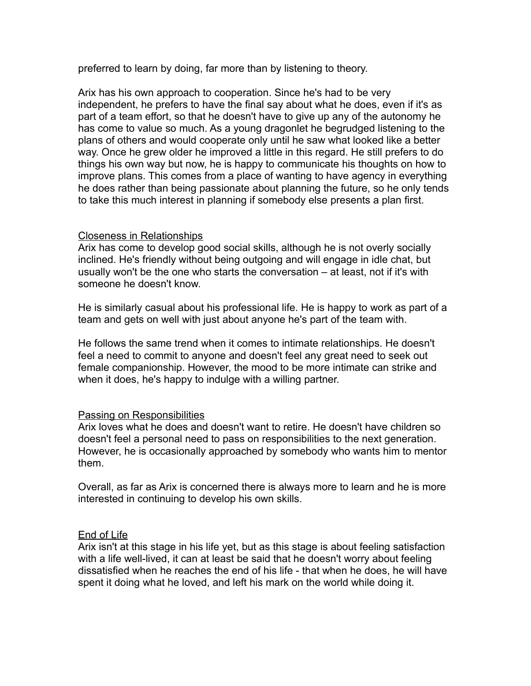preferred to learn by doing, far more than by listening to theory.

Arix has his own approach to cooperation. Since he's had to be very independent, he prefers to have the final say about what he does, even if it's as part of a team effort, so that he doesn't have to give up any of the autonomy he has come to value so much. As a young dragonlet he begrudged listening to the plans of others and would cooperate only until he saw what looked like a better way. Once he grew older he improved a little in this regard. He still prefers to do things his own way but now, he is happy to communicate his thoughts on how to improve plans. This comes from a place of wanting to have agency in everything he does rather than being passionate about planning the future, so he only tends to take this much interest in planning if somebody else presents a plan first.

### Closeness in Relationships

Arix has come to develop good social skills, although he is not overly socially inclined. He's friendly without being outgoing and will engage in idle chat, but usually won't be the one who starts the conversation – at least, not if it's with someone he doesn't know.

He is similarly casual about his professional life. He is happy to work as part of a team and gets on well with just about anyone he's part of the team with.

He follows the same trend when it comes to intimate relationships. He doesn't feel a need to commit to anyone and doesn't feel any great need to seek out female companionship. However, the mood to be more intimate can strike and when it does, he's happy to indulge with a willing partner.

#### Passing on Responsibilities

Arix loves what he does and doesn't want to retire. He doesn't have children so doesn't feel a personal need to pass on responsibilities to the next generation. However, he is occasionally approached by somebody who wants him to mentor them.

Overall, as far as Arix is concerned there is always more to learn and he is more interested in continuing to develop his own skills.

## End of Life

Arix isn't at this stage in his life yet, but as this stage is about feeling satisfaction with a life well-lived, it can at least be said that he doesn't worry about feeling dissatisfied when he reaches the end of his life - that when he does, he will have spent it doing what he loved, and left his mark on the world while doing it.